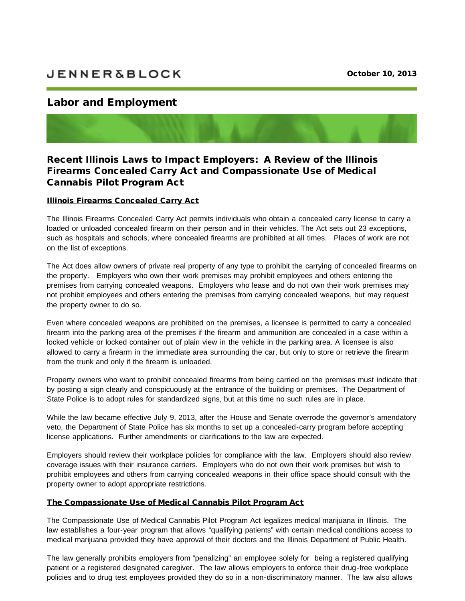# **JENNER&BLOCK**

# Labor and Employment

Recent Illinois Laws to Impact Employers: A Review of the lllinois Firearms Concealed Carry Act and Compassionate Use of Medical Cannabis Pilot Program Act

## Illinois Firearms Concealed Carry Act

The Illinois Firearms Concealed Carry Act permits individuals who obtain a concealed carry license to carry a loaded or unloaded concealed firearm on their person and in their vehicles. The Act sets out 23 exceptions, such as hospitals and schools, where concealed firearms are prohibited at all times. Places of work are not on the list of exceptions.

The Act does allow owners of private real property of any type to prohibit the carrying of concealed firearms on the property. Employers who own their work premises may prohibit employees and others entering the premises from carrying concealed weapons. Employers who lease and do not own their work premises may not prohibit employees and others entering the premises from carrying concealed weapons, but may request the property owner to do so.

Even where concealed weapons are prohibited on the premises, a licensee is permitted to carry a concealed firearm into the parking area of the premises if the firearm and ammunition are concealed in a case within a locked vehicle or locked container out of plain view in the vehicle in the parking area. A licensee is also allowed to carry a firearm in the immediate area surrounding the car, but only to store or retrieve the firearm from the trunk and only if the firearm is unloaded.

Property owners who want to prohibit concealed firearms from being carried on the premises must indicate that by posting a sign clearly and conspicuously at the entrance of the building or premises. The Department of State Police is to adopt rules for standardized signs, but at this time no such rules are in place.

While the law became effective July 9, 2013, after the House and Senate overrode the governor's amendatory veto, the Department of State Police has six months to set up a concealed-carry program before accepting license applications. Further amendments or clarifications to the law are expected.

Employers should review their workplace policies for compliance with the law. Employers should also review coverage issues with their insurance carriers. Employers who do not own their work premises but wish to prohibit employees and others from carrying concealed weapons in their office space should consult with the property owner to adopt appropriate restrictions.

### The Compassionate Use of Medical Cannabis Pilot Program Act

The Compassionate Use of Medical Cannabis Pilot Program Act legalizes medical marijuana in Illinois. The law establishes a four-year program that allows "qualifying patients" with certain medical conditions access to medical marijuana provided they have approval of their doctors and the Illinois Department of Public Health.

The law generally prohibits employers from "penalizing" an employee solely for being a registered qualifying patient or a registered designated caregiver. The law allows employers to enforce their drug-free workplace policies and to drug test employees provided they do so in a non-discriminatory manner. The law also allows